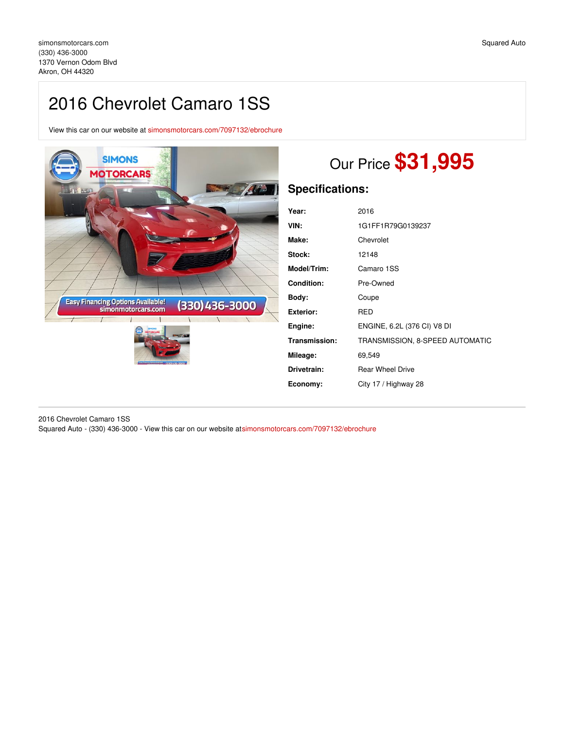# 2016 Chevrolet Camaro 1SS

View this car on our website at [simonsmotorcars.com/7097132/ebrochure](https://simonsmotorcars.com/vehicle/7097132/2016-chevrolet-camaro-1ss-akron-oh-44320/7097132/ebrochure)



# Our Price **\$31,995**

# **Specifications:**

| Year:             | 2016                            |
|-------------------|---------------------------------|
| VIN:              | 1G1FF1R79G0139237               |
| Make:             | Chevrolet                       |
| Stock:            | 12148                           |
| Model/Trim:       | Camaro 1SS                      |
| <b>Condition:</b> | Pre-Owned                       |
| Body:             | Coupe                           |
| <b>Exterior:</b>  | RED                             |
| Engine:           | ENGINE, 6.2L (376 CI) V8 DI     |
| Transmission:     | TRANSMISSION, 8-SPEED AUTOMATIC |
| Mileage:          | 69,549                          |
| Drivetrain:       | <b>Rear Wheel Drive</b>         |
| Economy:          | City 17 / Highway 28            |

2016 Chevrolet Camaro 1SS Squared Auto - (330) 436-3000 - View this car on our website a[tsimonsmotorcars.com/7097132/ebrochure](https://simonsmotorcars.com/vehicle/7097132/2016-chevrolet-camaro-1ss-akron-oh-44320/7097132/ebrochure)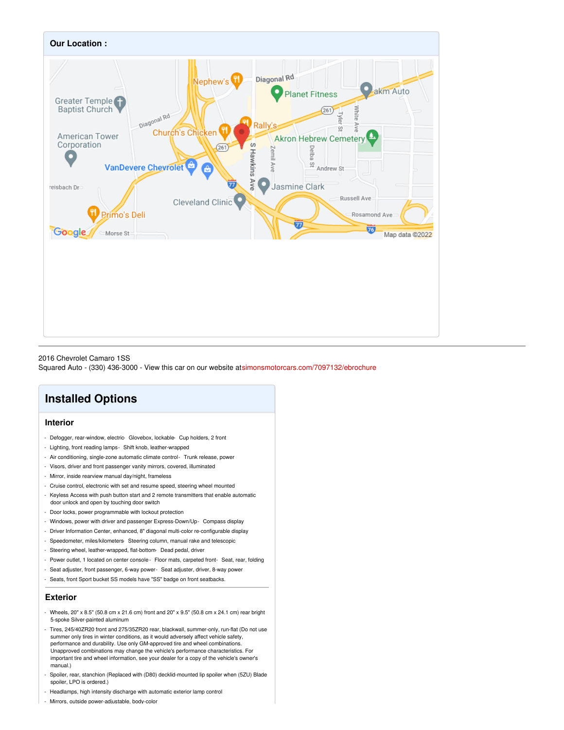

2016 Chevrolet Camaro 1SS

Squared Auto - (330) 436-3000 - View this car on our website a[tsimonsmotorcars.com/7097132/ebrochure](https://simonsmotorcars.com/vehicle/7097132/2016-chevrolet-camaro-1ss-akron-oh-44320/7097132/ebrochure)

## **Installed Options**

### **Interior**

- Defogger, rear-window, electric- Glovebox, lockable- Cup holders, 2 front
- Lighting, front reading lamps- Shift knob, leather-wrapped
- Air conditioning, single-zone automatic climate control- Trunk release, power
- Visors, driver and front passenger vanity mirrors, covered, illuminated
- Mirror, inside rearview manual day/night, frameless
- Cruise control, electronic with set and resume speed, steering wheel mounted
- Keyless Access with push button start and 2 remote transmitters that enable automatic
- door unlock and open by touching door switch
- Door locks, power programmable with lockout protection
- Windows, power with driver and passenger Express-Down/Up- Compass display
- Driver Information Center, enhanced, 8" diagonal multi-color re-configurable display
- Speedometer, miles/kilometers- Steering column, manual rake and telescopic
- Steering wheel, leather-wrapped, flat-bottom- Dead pedal, driver
- Power outlet, 1 located on center console- Floor mats, carpeted front- Seat, rear, folding
- Seat adjuster, front passenger, 6-way power- Seat adjuster, driver, 8-way power
- Seats, front Sport bucket SS models have "SS" badge on front seatbacks.

#### **Exterior**

- Wheels, 20" x 8.5" (50.8 cm x 21.6 cm) front and 20" x 9.5" (50.8 cm x 24.1 cm) rear bright 5-spoke Silver-painted aluminum
- Tires, 245/40ZR20 front and 275/35ZR20 rear, blackwall, summer-only, run-flat (Do not use summer only tires in winter conditions, as it would adversely affect vehicle safety, performance and durability. Use only GM-approved tire and wheel combinations. Unapproved combinations may change the vehicle's performance characteristics. For important tire and wheel information, see your dealer for a copy of the vehicle's owner's manual.)
- Spoiler, rear, stanchion (Replaced with (D80) decklid-mounted lip spoiler when (5ZU) Blade spoiler, LPO is ordered.)
- Headlamps, high intensity discharge with automatic exterior lamp control
- Mirrors, outside power-adjustable, body-color